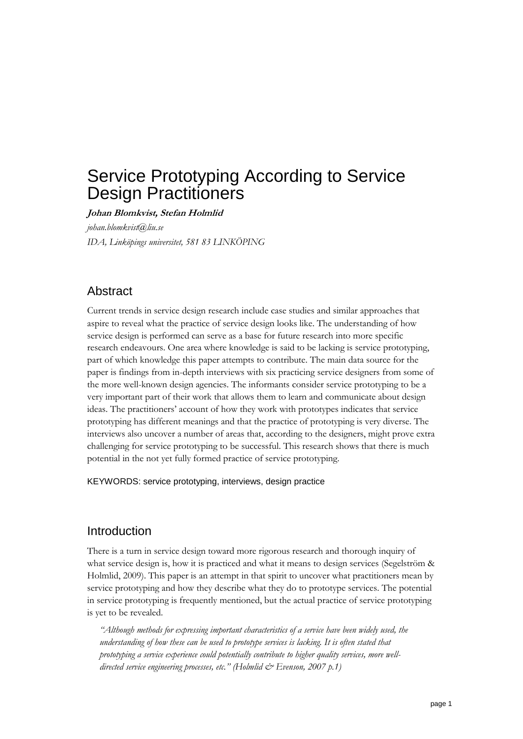# Service Prototyping According to Service Design Practitioners

**Johan Blomkvist, Stefan Holmlid**

*johan.blomkvist@liu.se IDA, Linköpings universitet, 581 83 LINKÖPING*

### Abstract

Current trends in service design research include case studies and similar approaches that aspire to reveal what the practice of service design looks like. The understanding of how service design is performed can serve as a base for future research into more specific research endeavours. One area where knowledge is said to be lacking is service prototyping, part of which knowledge this paper attempts to contribute. The main data source for the paper is findings from in-depth interviews with six practicing service designers from some of the more well-known design agencies. The informants consider service prototyping to be a very important part of their work that allows them to learn and communicate about design ideas. The practitioners' account of how they work with prototypes indicates that service prototyping has different meanings and that the practice of prototyping is very diverse. The interviews also uncover a number of areas that, according to the designers, might prove extra challenging for service prototyping to be successful. This research shows that there is much potential in the not yet fully formed practice of service prototyping.

KEYWORDS: service prototyping, interviews, design practice

### Introduction

There is a turn in service design toward more rigorous research and thorough inquiry of what service design is, how it is practiced and what it means to design services (Segelström & Holmlid, 2009). This paper is an attempt in that spirit to uncover what practitioners mean by service prototyping and how they describe what they do to prototype services. The potential in service prototyping is frequently mentioned, but the actual practice of service prototyping is yet to be revealed.

*―Although methods for expressing important characteristics of a service have been widely used, the understanding of how these can be used to prototype services is lacking. It is often stated that prototyping a service experience could potentially contribute to higher quality services, more welldirected service engineering processes, etc.*" (Holmlid & Evenson, 2007 p.1)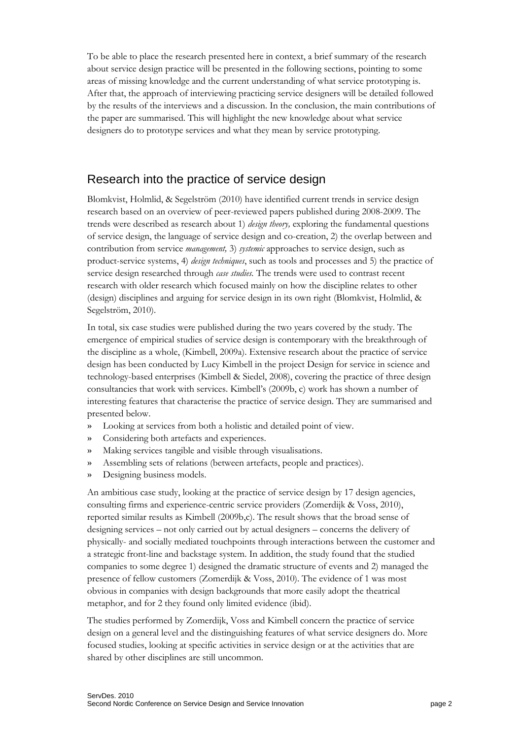To be able to place the research presented here in context, a brief summary of the research about service design practice will be presented in the following sections, pointing to some areas of missing knowledge and the current understanding of what service prototyping is. After that, the approach of interviewing practicing service designers will be detailed followed by the results of the interviews and a discussion. In the conclusion, the main contributions of the paper are summarised. This will highlight the new knowledge about what service designers do to prototype services and what they mean by service prototyping.

# Research into the practice of service design

Blomkvist, Holmlid, & Segelström (2010) have identified current trends in service design research based on an overview of peer-reviewed papers published during 2008-2009. The trends were described as research about 1) *design theory,* exploring the fundamental questions of service design, the language of service design and co-creation, 2) the overlap between and contribution from service *management,* 3) *systemic* approaches to service design, such as product-service systems, 4) *design techniques*, such as tools and processes and 5) the practice of service design researched through *case studies.* The trends were used to contrast recent research with older research which focused mainly on how the discipline relates to other (design) disciplines and arguing for service design in its own right (Blomkvist, Holmlid, & Segelström, 2010).

In total, six case studies were published during the two years covered by the study. The emergence of empirical studies of service design is contemporary with the breakthrough of the discipline as a whole, (Kimbell, 2009a). Extensive research about the practice of service design has been conducted by Lucy Kimbell in the project Design for service in science and technology-based enterprises (Kimbell & Siedel, 2008), covering the practice of three design consultancies that work with services. Kimbell's (2009b, c) work has shown a number of interesting features that characterise the practice of service design. They are summarised and presented below.

- » Looking at services from both a holistic and detailed point of view.
- » Considering both artefacts and experiences.
- Making services tangible and visible through visualisations.
- » Assembling sets of relations (between artefacts, people and practices).
- » Designing business models.

An ambitious case study, looking at the practice of service design by 17 design agencies, consulting firms and experience-centric service providers (Zomerdijk & Voss, 2010), reported similar results as Kimbell (2009b,c). The result shows that the broad sense of designing services – not only carried out by actual designers – concerns the delivery of physically- and socially mediated touchpoints through interactions between the customer and a strategic front-line and backstage system. In addition, the study found that the studied companies to some degree 1) designed the dramatic structure of events and 2) managed the presence of fellow customers (Zomerdijk & Voss, 2010). The evidence of 1 was most obvious in companies with design backgrounds that more easily adopt the theatrical metaphor, and for 2 they found only limited evidence (ibid).

The studies performed by Zomerdijk, Voss and Kimbell concern the practice of service design on a general level and the distinguishing features of what service designers do. More focused studies, looking at specific activities in service design or at the activities that are shared by other disciplines are still uncommon.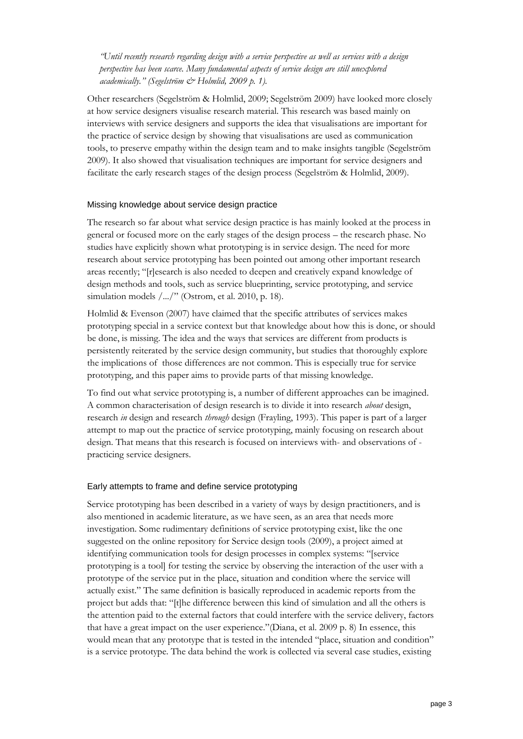*―Until recently research regarding design with a service perspective as well as services with a design perspective has been scarce. Many fundamental aspects of service design are still unexplored academically.‖ (Segelström & Holmlid, 2009 p. 1).*

Other researchers (Segelström & Holmlid, 2009; Segelström 2009) have looked more closely at how service designers visualise research material. This research was based mainly on interviews with service designers and supports the idea that visualisations are important for the practice of service design by showing that visualisations are used as communication tools, to preserve empathy within the design team and to make insights tangible (Segelström 2009). It also showed that visualisation techniques are important for service designers and facilitate the early research stages of the design process (Segelström & Holmlid, 2009).

#### Missing knowledge about service design practice

The research so far about what service design practice is has mainly looked at the process in general or focused more on the early stages of the design process – the research phase. No studies have explicitly shown what prototyping is in service design. The need for more research about service prototyping has been pointed out among other important research areas recently; "[r]esearch is also needed to deepen and creatively expand knowledge of design methods and tools, such as service blueprinting, service prototyping, and service simulation models  $/$ ... $/$ " (Ostrom, et al. 2010, p. 18).

Holmlid & Evenson (2007) have claimed that the specific attributes of services makes prototyping special in a service context but that knowledge about how this is done, or should be done, is missing. The idea and the ways that services are different from products is persistently reiterated by the service design community, but studies that thoroughly explore the implications of those differences are not common. This is especially true for service prototyping, and this paper aims to provide parts of that missing knowledge.

To find out what service prototyping is, a number of different approaches can be imagined. A common characterisation of design research is to divide it into research *about* design, research *in* design and research *through* design (Frayling, 1993). This paper is part of a larger attempt to map out the practice of service prototyping, mainly focusing on research about design. That means that this research is focused on interviews with- and observations of practicing service designers.

#### Early attempts to frame and define service prototyping

Service prototyping has been described in a variety of ways by design practitioners, and is also mentioned in academic literature, as we have seen, as an area that needs more investigation. Some rudimentary definitions of service prototyping exist, like the one suggested on the online repository for Service design tools (2009), a project aimed at identifying communication tools for design processes in complex systems: "[service prototyping is a tool] for testing the service by observing the interaction of the user with a prototype of the service put in the place, situation and condition where the service will actually exist." The same definition is basically reproduced in academic reports from the project but adds that: "[t]he difference between this kind of simulation and all the others is the attention paid to the external factors that could interfere with the service delivery, factors that have a great impact on the user experience."(Diana, et al. 2009 p. 8) In essence, this would mean that any prototype that is tested in the intended "place, situation and condition" is a service prototype. The data behind the work is collected via several case studies, existing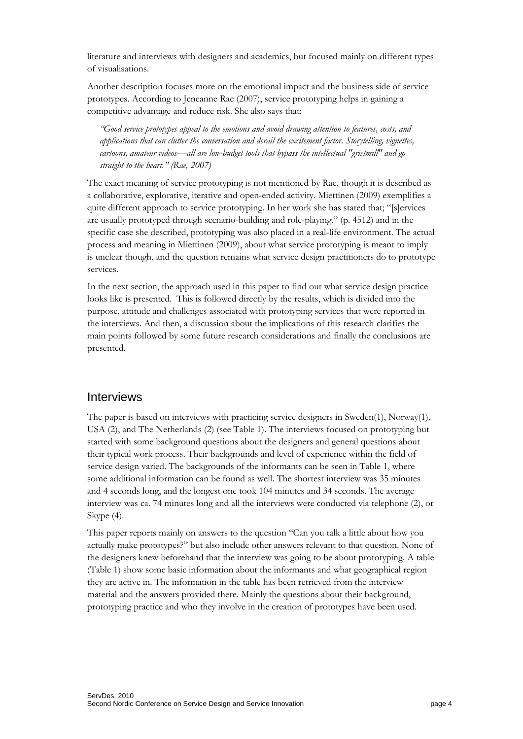literature and interviews with designers and academics, but focused mainly on different types of visualisations.

Another description focuses more on the emotional impact and the business side of service prototypes. According to Jeneanne Rae (2007), service prototyping helps in gaining a competitive advantage and reduce risk. She also says that:

*―Good service prototypes appeal to the emotions and avoid drawing attention to features, costs, and applications that can clutter the conversation and derail the excitement factor. Storytelling, vignettes, cartoons, amateur videos—all are low-budget tools that bypass the intellectual "gristmill" and go straight to the heart.‖ (Rae, 2007)*

The exact meaning of service prototyping is not mentioned by Rae, though it is described as a collaborative, explorative, iterative and open-ended activity. Miettinen (2009) exemplifies a quite different approach to service prototyping. In her work she has stated that; "[s]ervices are usually prototyped through scenario-building and role-playing." (p. 4512) and in the specific case she described, prototyping was also placed in a real-life environment. The actual process and meaning in Miettinen (2009), about what service prototyping is meant to imply is unclear though, and the question remains what service design practitioners do to prototype services.

In the next section, the approach used in this paper to find out what service design practice looks like is presented. This is followed directly by the results, which is divided into the purpose, attitude and challenges associated with prototyping services that were reported in the interviews. And then, a discussion about the implications of this research clarifies the main points followed by some future research considerations and finally the conclusions are presented.

### **Interviews**

The paper is based on interviews with practicing service designers in Sweden(1), Norway(1), USA (2), and The Netherlands (2) (see Table 1). The interviews focused on prototyping but started with some background questions about the designers and general questions about their typical work process. Their backgrounds and level of experience within the field of service design varied. The backgrounds of the informants can be seen in Table 1, where some additional information can be found as well. The shortest interview was 35 minutes and 4 seconds long, and the longest one took 104 minutes and 34 seconds. The average interview was ca. 74 minutes long and all the interviews were conducted via telephone (2), or Skype (4).

This paper reports mainly on answers to the question "Can you talk a little about how you actually make prototypes?" but also include other answers relevant to that question. None of the designers knew beforehand that the interview was going to be about prototyping. A table (Table 1) show some basic information about the informants and what geographical region they are active in. The information in the table has been retrieved from the interview material and the answers provided there. Mainly the questions about their background, prototyping practice and who they involve in the creation of prototypes have been used.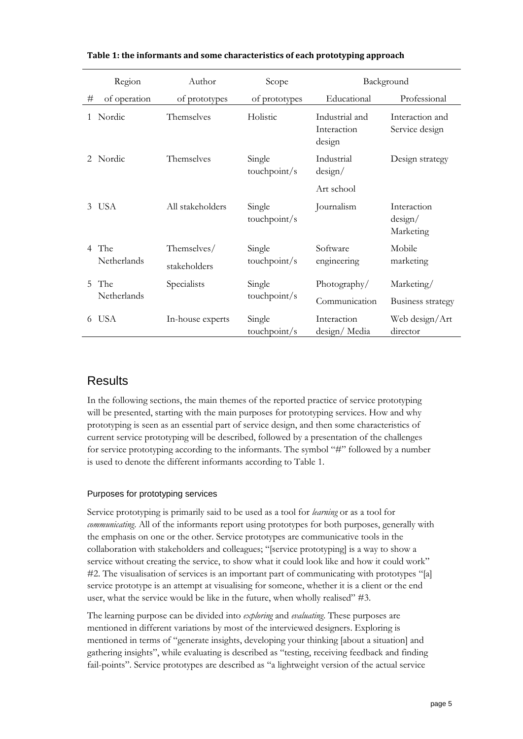|                | Region             | Author                      | Scope                  | Background                              |                                     |
|----------------|--------------------|-----------------------------|------------------------|-----------------------------------------|-------------------------------------|
| #              | of operation       | of prototypes               | of prototypes          | Educational                             | Professional                        |
| $\mathbf{1}$   | Nordic             | Themselves                  | Holistic               | Industrial and<br>Interaction<br>design | Interaction and<br>Service design   |
| $\mathcal{L}$  | Nordic             | Themselves                  | Single<br>touchpoint/s | Industrial<br>design/                   | Design strategy                     |
|                |                    |                             |                        | Art school                              |                                     |
| 3              | <b>USA</b>         | All stakeholders            | Single<br>touchpoint/s | Journalism                              | Interaction<br>design/<br>Marketing |
| $\overline{4}$ | The<br>Netherlands | Themselves/<br>stakeholders | Single<br>touchpoint/s | Software<br>engineering                 | Mobile<br>marketing                 |
| 5.             | The<br>Netherlands | Specialists                 | Single<br>touchpoint/s | Photography/<br>Communication           | Marketing/<br>Business strategy     |
| 6              | <b>USA</b>         | In-house experts            | Single<br>touchpoint/s | Interaction<br>design/Media             | Web design/Art<br>director          |

#### **Table 1: the informants and some characteristics of each prototyping approach**

# **Results**

In the following sections, the main themes of the reported practice of service prototyping will be presented, starting with the main purposes for prototyping services. How and why prototyping is seen as an essential part of service design, and then some characteristics of current service prototyping will be described, followed by a presentation of the challenges for service prototyping according to the informants. The symbol "#" followed by a number is used to denote the different informants according to Table 1.

### Purposes for prototyping services

Service prototyping is primarily said to be used as a tool for *learning* or as a tool for *communicating*. All of the informants report using prototypes for both purposes, generally with the emphasis on one or the other. Service prototypes are communicative tools in the collaboration with stakeholders and colleagues; "[service prototyping] is a way to show a service without creating the service, to show what it could look like and how it could work" #2. The visualisation of services is an important part of communicating with prototypes "[a] service prototype is an attempt at visualising for someone, whether it is a client or the end user, what the service would be like in the future, when wholly realised" #3.

The learning purpose can be divided into *exploring* and *evaluating*. These purposes are mentioned in different variations by most of the interviewed designers. Exploring is mentioned in terms of "generate insights, developing your thinking [about a situation] and gathering insights", while evaluating is described as "testing, receiving feedback and finding fail-points". Service prototypes are described as "a lightweight version of the actual service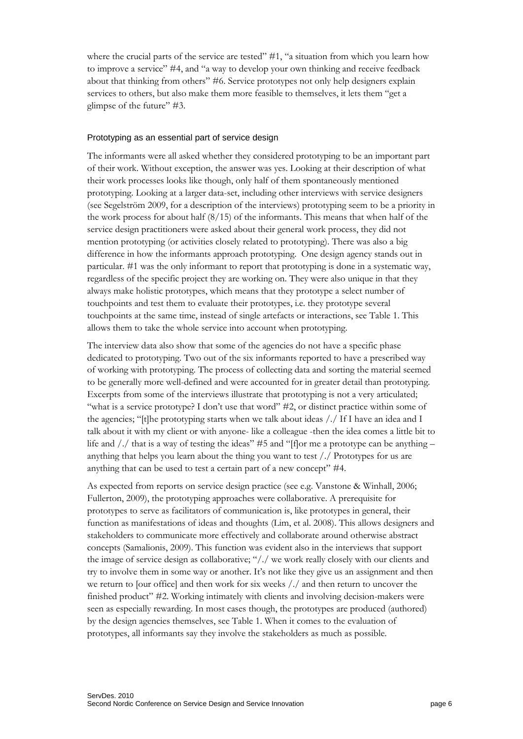where the crucial parts of the service are tested" #1, "a situation from which you learn how to improve a service" #4, and "a way to develop your own thinking and receive feedback about that thinking from others" #6. Service prototypes not only help designers explain services to others, but also make them more feasible to themselves, it lets them "get a glimpse of the future" #3.

#### Prototyping as an essential part of service design

The informants were all asked whether they considered prototyping to be an important part of their work. Without exception, the answer was yes. Looking at their description of what their work processes looks like though, only half of them spontaneously mentioned prototyping. Looking at a larger data-set, including other interviews with service designers (see Segelström 2009, for a description of the interviews) prototyping seem to be a priority in the work process for about half  $(8/15)$  of the informants. This means that when half of the service design practitioners were asked about their general work process, they did not mention prototyping (or activities closely related to prototyping). There was also a big difference in how the informants approach prototyping. One design agency stands out in particular. #1 was the only informant to report that prototyping is done in a systematic way, regardless of the specific project they are working on. They were also unique in that they always make holistic prototypes, which means that they prototype a select number of touchpoints and test them to evaluate their prototypes, i.e. they prototype several touchpoints at the same time, instead of single artefacts or interactions, see Table 1. This allows them to take the whole service into account when prototyping.

The interview data also show that some of the agencies do not have a specific phase dedicated to prototyping. Two out of the six informants reported to have a prescribed way of working with prototyping. The process of collecting data and sorting the material seemed to be generally more well-defined and were accounted for in greater detail than prototyping. Excerpts from some of the interviews illustrate that prototyping is not a very articulated; "what is a service prototype? I don't use that word" #2, or distinct practice within some of the agencies; "[t]he prototyping starts when we talk about ideas /./ If I have an idea and I talk about it with my client or with anyone- like a colleague -then the idea comes a little bit to life and /./ that is a way of testing the ideas" #5 and "[f]or me a prototype can be anything – anything that helps you learn about the thing you want to test /./ Prototypes for us are anything that can be used to test a certain part of a new concept" #4.

As expected from reports on service design practice (see e.g. Vanstone & Winhall, 2006; Fullerton, 2009), the prototyping approaches were collaborative. A prerequisite for prototypes to serve as facilitators of communication is, like prototypes in general, their function as manifestations of ideas and thoughts (Lim, et al. 2008). This allows designers and stakeholders to communicate more effectively and collaborate around otherwise abstract concepts (Samalionis, 2009). This function was evident also in the interviews that support the image of service design as collaborative; "/./ we work really closely with our clients and try to involve them in some way or another. It's not like they give us an assignment and then we return to [our office] and then work for six weeks /./ and then return to uncover the finished product" #2. Working intimately with clients and involving decision-makers were seen as especially rewarding. In most cases though, the prototypes are produced (authored) by the design agencies themselves, see Table 1. When it comes to the evaluation of prototypes, all informants say they involve the stakeholders as much as possible.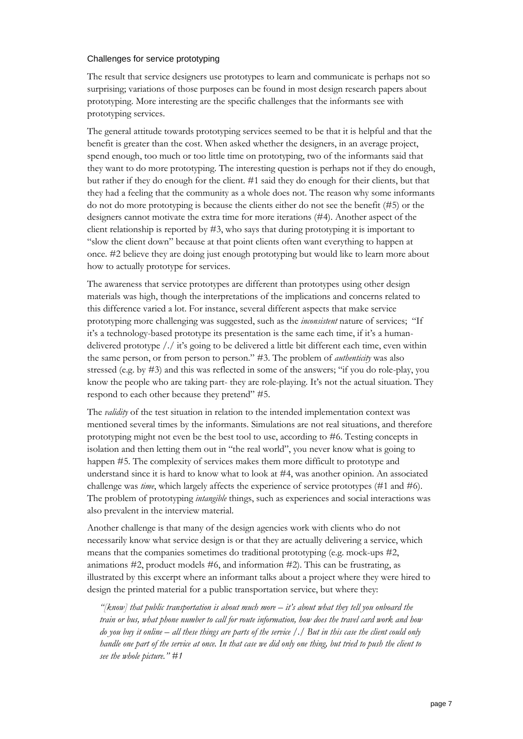#### Challenges for service prototyping

The result that service designers use prototypes to learn and communicate is perhaps not so surprising; variations of those purposes can be found in most design research papers about prototyping. More interesting are the specific challenges that the informants see with prototyping services.

The general attitude towards prototyping services seemed to be that it is helpful and that the benefit is greater than the cost. When asked whether the designers, in an average project, spend enough, too much or too little time on prototyping, two of the informants said that they want to do more prototyping. The interesting question is perhaps not if they do enough, but rather if they do enough for the client. #1 said they do enough for their clients, but that they had a feeling that the community as a whole does not. The reason why some informants do not do more prototyping is because the clients either do not see the benefit (#5) or the designers cannot motivate the extra time for more iterations (#4). Another aspect of the client relationship is reported by #3, who says that during prototyping it is important to "slow the client down" because at that point clients often want everything to happen at once. #2 believe they are doing just enough prototyping but would like to learn more about how to actually prototype for services.

The awareness that service prototypes are different than prototypes using other design materials was high, though the interpretations of the implications and concerns related to this difference varied a lot. For instance, several different aspects that make service prototyping more challenging was suggested, such as the *inconsistent* nature of services; "If it's a technology-based prototype its presentation is the same each time, if it's a humandelivered prototype /./ it's going to be delivered a little bit different each time, even within the same person, or from person to person." #3. The problem of *authenticity* was also stressed (e.g. by #3) and this was reflected in some of the answers; "if you do role-play, you know the people who are taking part- they are role-playing. It's not the actual situation. They respond to each other because they pretend" #5.

The *validity* of the test situation in relation to the intended implementation context was mentioned several times by the informants. Simulations are not real situations, and therefore prototyping might not even be the best tool to use, according to #6. Testing concepts in isolation and then letting them out in "the real world", you never know what is going to happen #5. The complexity of services makes them more difficult to prototype and understand since it is hard to know what to look at #4, was another opinion. An associated challenge was *time*, which largely affects the experience of service prototypes (#1 and #6). The problem of prototyping *intangible* things, such as experiences and social interactions was also prevalent in the interview material.

Another challenge is that many of the design agencies work with clients who do not necessarily know what service design is or that they are actually delivering a service, which means that the companies sometimes do traditional prototyping (e.g. mock-ups #2, animations #2, product models #6, and information #2). This can be frustrating, as illustrated by this excerpt where an informant talks about a project where they were hired to design the printed material for a public transportation service, but where they:

*―[know] that public transportation is about much more – it's about what they tell you onboard the train or bus, what phone number to call for route information, how does the travel card work and how do you buy it online – all these things are parts of the service /./ But in this case the client could only handle one part of the service at once. In that case we did only one thing, but tried to push the client to see the whole picture.‖ #1*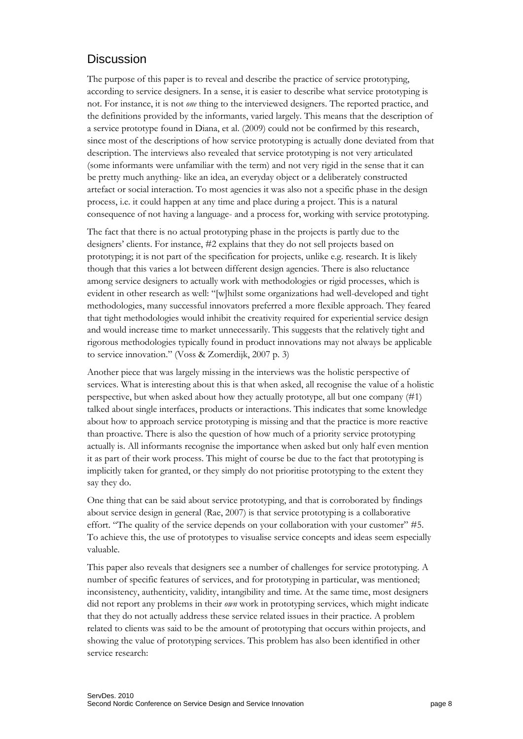# **Discussion**

The purpose of this paper is to reveal and describe the practice of service prototyping, according to service designers. In a sense, it is easier to describe what service prototyping is not. For instance, it is not *one* thing to the interviewed designers. The reported practice, and the definitions provided by the informants, varied largely. This means that the description of a service prototype found in Diana, et al. (2009) could not be confirmed by this research, since most of the descriptions of how service prototyping is actually done deviated from that description. The interviews also revealed that service prototyping is not very articulated (some informants were unfamiliar with the term) and not very rigid in the sense that it can be pretty much anything- like an idea, an everyday object or a deliberately constructed artefact or social interaction. To most agencies it was also not a specific phase in the design process, i.e. it could happen at any time and place during a project. This is a natural consequence of not having a language- and a process for, working with service prototyping.

The fact that there is no actual prototyping phase in the projects is partly due to the designers' clients. For instance, #2 explains that they do not sell projects based on prototyping; it is not part of the specification for projects, unlike e.g. research. It is likely though that this varies a lot between different design agencies. There is also reluctance among service designers to actually work with methodologies or rigid processes, which is evident in other research as well: "[w]hilst some organizations had well-developed and tight methodologies, many successful innovators preferred a more flexible approach. They feared that tight methodologies would inhibit the creativity required for experiential service design and would increase time to market unnecessarily. This suggests that the relatively tight and rigorous methodologies typically found in product innovations may not always be applicable to service innovation." (Voss & Zomerdijk, 2007 p. 3)

Another piece that was largely missing in the interviews was the holistic perspective of services. What is interesting about this is that when asked, all recognise the value of a holistic perspective, but when asked about how they actually prototype, all but one company (#1) talked about single interfaces, products or interactions. This indicates that some knowledge about how to approach service prototyping is missing and that the practice is more reactive than proactive. There is also the question of how much of a priority service prototyping actually is. All informants recognise the importance when asked but only half even mention it as part of their work process. This might of course be due to the fact that prototyping is implicitly taken for granted, or they simply do not prioritise prototyping to the extent they say they do.

One thing that can be said about service prototyping, and that is corroborated by findings about service design in general (Rae, 2007) is that service prototyping is a collaborative effort. "The quality of the service depends on your collaboration with your customer" #5. To achieve this, the use of prototypes to visualise service concepts and ideas seem especially valuable.

This paper also reveals that designers see a number of challenges for service prototyping. A number of specific features of services, and for prototyping in particular, was mentioned; inconsistency, authenticity, validity, intangibility and time. At the same time, most designers did not report any problems in their *own* work in prototyping services, which might indicate that they do not actually address these service related issues in their practice. A problem related to clients was said to be the amount of prototyping that occurs within projects, and showing the value of prototyping services. This problem has also been identified in other service research: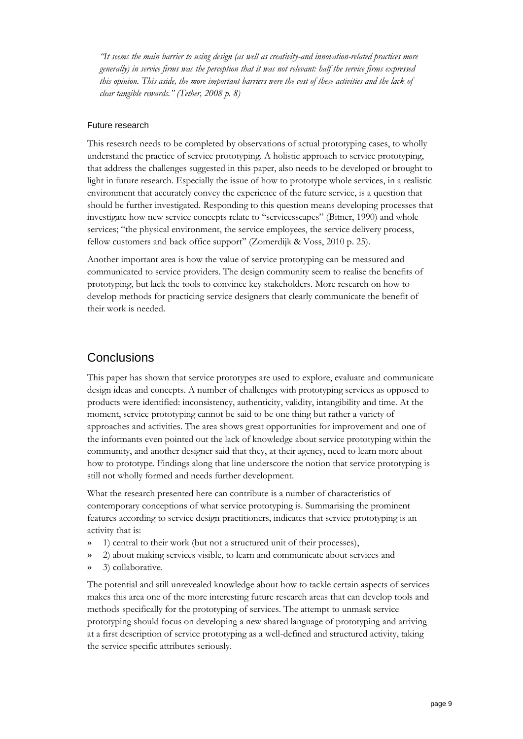*―It seems the main barrier to using design (as well as creativity-and innovation-related practices more generally) in service firms was the perception that it was not relevant: half the service firms expressed this opinion. This aside, the more important barriers were the cost of these activities and the lack of clear tangible rewards.‖ (Tether, 2008 p. 8)*

#### Future research

This research needs to be completed by observations of actual prototyping cases, to wholly understand the practice of service prototyping. A holistic approach to service prototyping, that address the challenges suggested in this paper, also needs to be developed or brought to light in future research. Especially the issue of how to prototype whole services, in a realistic environment that accurately convey the experience of the future service, is a question that should be further investigated. Responding to this question means developing processes that investigate how new service concepts relate to "servicesscapes" (Bitner, 1990) and whole services; "the physical environment, the service employees, the service delivery process, fellow customers and back office support" (Zomerdijk & Voss, 2010 p. 25).

Another important area is how the value of service prototyping can be measured and communicated to service providers. The design community seem to realise the benefits of prototyping, but lack the tools to convince key stakeholders. More research on how to develop methods for practicing service designers that clearly communicate the benefit of their work is needed.

# **Conclusions**

This paper has shown that service prototypes are used to explore, evaluate and communicate design ideas and concepts. A number of challenges with prototyping services as opposed to products were identified: inconsistency, authenticity, validity, intangibility and time. At the moment, service prototyping cannot be said to be one thing but rather a variety of approaches and activities. The area shows great opportunities for improvement and one of the informants even pointed out the lack of knowledge about service prototyping within the community, and another designer said that they, at their agency, need to learn more about how to prototype. Findings along that line underscore the notion that service prototyping is still not wholly formed and needs further development.

What the research presented here can contribute is a number of characteristics of contemporary conceptions of what service prototyping is. Summarising the prominent features according to service design practitioners, indicates that service prototyping is an activity that is:

- » 1) central to their work (but not a structured unit of their processes),
- » 2) about making services visible, to learn and communicate about services and
- » 3) collaborative.

The potential and still unrevealed knowledge about how to tackle certain aspects of services makes this area one of the more interesting future research areas that can develop tools and methods specifically for the prototyping of services. The attempt to unmask service prototyping should focus on developing a new shared language of prototyping and arriving at a first description of service prototyping as a well-defined and structured activity, taking the service specific attributes seriously.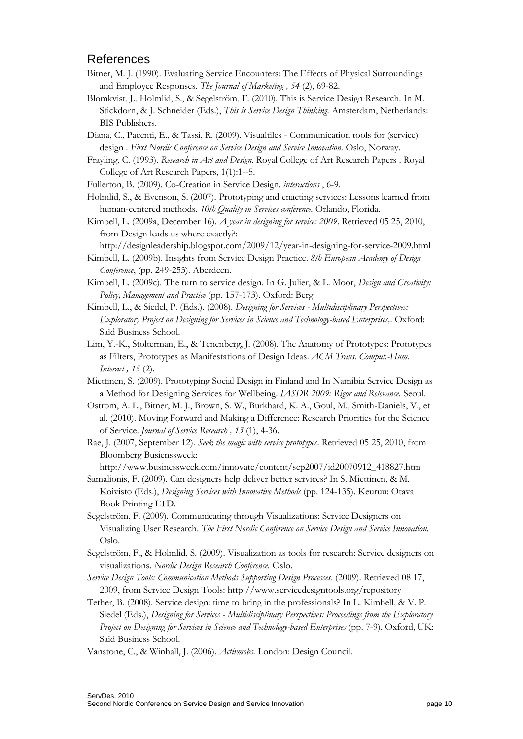### References

- Bitner, M. J. (1990). Evaluating Service Encounters: The Effects of Physical Surroundings and Employee Responses. *The Journal of Marketing , 54* (2), 69-82.
- Blomkvist, J., Holmlid, S., & Segelström, F. (2010). This is Service Design Research. In M. Stickdorn, & J. Schneider (Eds.), *This is Service Design Thinking.* Amsterdam, Netherlands: BIS Publishers.
- Diana, C., Pacenti, E., & Tassi, R. (2009). Visualtiles Communication tools for (service) design . *First Nordic Conference on Service Design and Service Innovation.* Oslo, Norway.
- Frayling, C. (1993). *Research in Art and Design.* Royal College of Art Research Papers . Royal College of Art Research Papers, 1(1):1--5.
- Fullerton, B. (2009). Co-Creation in Service Design. *interactions* , 6-9.
- Holmlid, S., & Evenson, S. (2007). Prototyping and enacting services: Lessons learned from human-centered methods. *10th Quality in Services conference.* Orlando, Florida.
- Kimbell, L. (2009a, December 16). *A year in designing for service: 2009*. Retrieved 05 25, 2010, from Design leads us where exactly?:
- http://designleadership.blogspot.com/2009/12/year-in-designing-for-service-2009.html Kimbell, L. (2009b). Insights from Service Design Practice. *8th European Academy of Design* 
	- *Conference*, (pp. 249-253). Aberdeen.
- Kimbell, L. (2009c). The turn to service design. In G. Julier, & L. Moor, *Design and Creativity: Policy, Management and Practice* (pp. 157-173). Oxford: Berg.
- Kimbell, L., & Siedel, P. (Eds.). (2008). *Designing for Services - Multidisciplinary Perspectives: Exploratory Project on Designing for Services in Science and Technology-based Enterprises,.* Oxford: Saïd Business School.
- Lim, Y.-K., Stolterman, E., & Tenenberg, J. (2008). The Anatomy of Prototypes: Prototypes as Filters, Prototypes as Manifestations of Design Ideas. *ACM Trans. Comput.-Hum. Interact , 15* (2).
- Miettinen, S. (2009). Prototyping Social Design in Finland and In Namibia Service Design as a Method for Designing Services for Wellbeing. *IASDR 2009: Rigor and Relevance.* Seoul.
- Ostrom, A. L., Bitner, M. J., Brown, S. W., Burkhard, K. A., Goul, M., Smith-Daniels, V., et al. (2010). Moving Forward and Making a Difference: Research Priorities for the Science of Service. *Journal of Service Research , 13* (1), 4-36.
- Rae, J. (2007, September 12). *Seek the magic with service prototypes*. Retrieved 05 25, 2010, from Bloomberg Busienssweek:

http://www.businessweek.com/innovate/content/sep2007/id20070912\_418827.htm

- Samalionis, F. (2009). Can designers help deliver better services? In S. Miettinen, & M. Koivisto (Eds.), *Designing Services with Innovative Methods* (pp. 124-135). Keuruu: Otava Book Printing LTD.
- Segelström, F. (2009). Communicating through Visualizations: Service Designers on Visualizing User Research. *The First Nordic Conference on Service Design and Service Innovation.* Oslo.
- Segelström, F., & Holmlid, S. (2009). Visualization as tools for research: Service designers on visualizations. *Nordic Design Research Conference.* Oslo.
- *Service Design Tools: Communication Methods Supporting Design Processes*. (2009). Retrieved 08 17, 2009, from Service Design Tools: http://www.servicedesigntools.org/repository
- Tether, B. (2008). Service design: time to bring in the professionals? In L. Kimbell, & V. P. Siedel (Eds.), *Designing for Services - Multidisciplinary Perspectives: Proceedings from the Exploratory Project on Designing for Services in Science and Technology-based Enterprises* (pp. 7-9). Oxford, UK: Saïd Business School.
- Vanstone, C., & Winhall, J. (2006). *Activmobs.* London: Design Council.